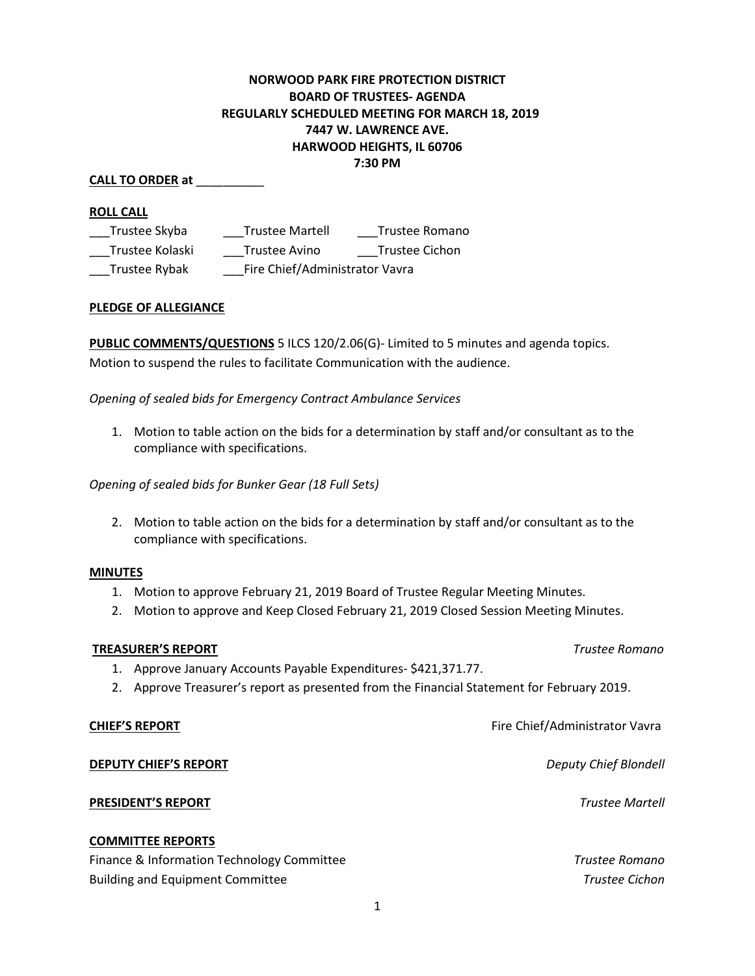# **NORWOOD PARK FIRE PROTECTION DISTRICT BOARD OF TRUSTEES- AGENDA REGULARLY SCHEDULED MEETING FOR MARCH 18, 2019 7447 W. LAWRENCE AVE. HARWOOD HEIGHTS, IL 60706 7:30 PM**

## **CALL TO ORDER at** \_\_\_\_\_\_\_\_\_\_

### **ROLL CALL**

| Trustee Skyba   | <b>Trustee Martell</b>         | Trustee Romano |  |
|-----------------|--------------------------------|----------------|--|
| Trustee Kolaski | Trustee Avino                  | Trustee Cichon |  |
| Trustee Rybak   | Fire Chief/Administrator Vavra |                |  |

### **PLEDGE OF ALLEGIANCE**

**PUBLIC COMMENTS/QUESTIONS** 5 ILCS 120/2.06(G)- Limited to 5 minutes and agenda topics. Motion to suspend the rules to facilitate Communication with the audience.

*Opening of sealed bids for Emergency Contract Ambulance Services*

1. Motion to table action on the bids for a determination by staff and/or consultant as to the compliance with specifications.

*Opening of sealed bids for Bunker Gear (18 Full Sets)*

2. Motion to table action on the bids for a determination by staff and/or consultant as to the compliance with specifications.

#### **MINUTES**

- 1. Motion to approve February 21, 2019 Board of Trustee Regular Meeting Minutes.
- 2. Motion to approve and Keep Closed February 21, 2019 Closed Session Meeting Minutes.

#### **TREASURER'S REPORT** *Trustee Romano*

- 1. Approve January Accounts Payable Expenditures- \$421,371.77.
- 2. Approve Treasurer's report as presented from the Financial Statement for February 2019.

## **CHIEF'S REPORT CHIEF'S REPORT Fire Chief/Administrator Vavra**

## **DEPUTY CHIEF'S REPORT** *Deputy Chief Blondell*

## **PRESIDENT'S REPORT** *Trustee Martell*

### **COMMITTEE REPORTS**

Finance & Information Technology Committee *Trustee Romano* Building and Equipment Committee *Trustee Cichon*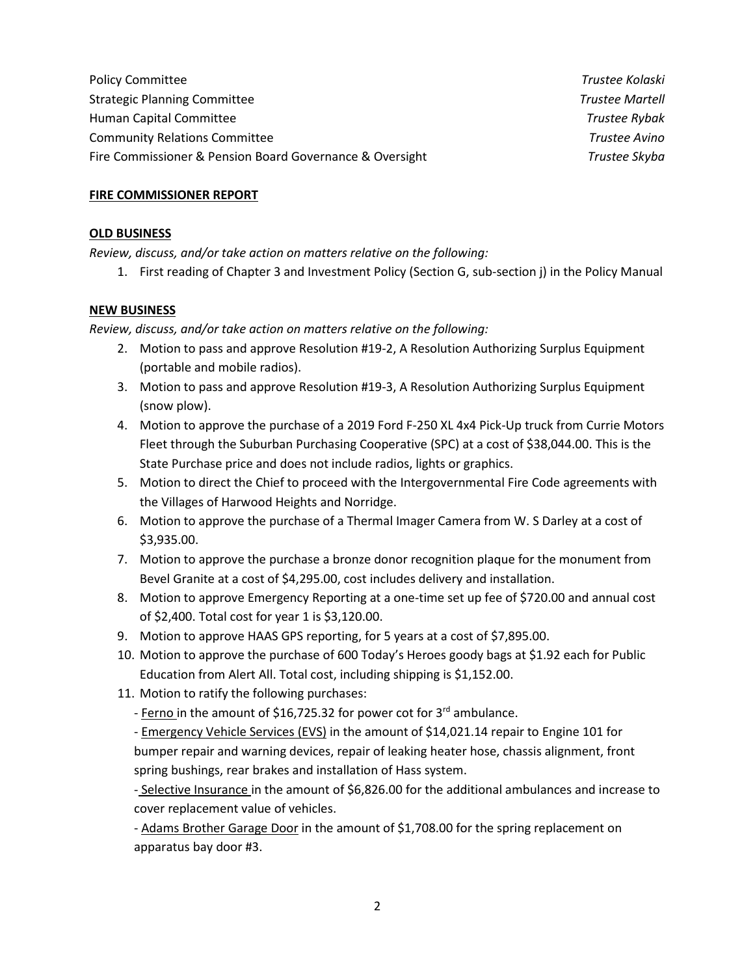Policy Committee *Trustee Kolaski* Strategic Planning Committee *Trustee Martell* Human Capital Committee *Trustee Rybak* Community Relations Committee *Trustee Avino*  Fire Commissioner & Pension Board Governance & Oversight *Trustee Skyba*

### **FIRE COMMISSIONER REPORT**

#### **OLD BUSINESS**

*Review, discuss, and/or take action on matters relative on the following:*

1. First reading of Chapter 3 and Investment Policy (Section G, sub-section j) in the Policy Manual

#### **NEW BUSINESS**

*Review, discuss, and/or take action on matters relative on the following:*

- 2. Motion to pass and approve Resolution #19-2, A Resolution Authorizing Surplus Equipment (portable and mobile radios).
- 3. Motion to pass and approve Resolution #19-3, A Resolution Authorizing Surplus Equipment (snow plow).
- 4. Motion to approve the purchase of a 2019 Ford F-250 XL 4x4 Pick-Up truck from Currie Motors Fleet through the Suburban Purchasing Cooperative (SPC) at a cost of \$38,044.00. This is the State Purchase price and does not include radios, lights or graphics.
- 5. Motion to direct the Chief to proceed with the Intergovernmental Fire Code agreements with the Villages of Harwood Heights and Norridge.
- 6. Motion to approve the purchase of a Thermal Imager Camera from W. S Darley at a cost of \$3,935.00.
- 7. Motion to approve the purchase a bronze donor recognition plaque for the monument from Bevel Granite at a cost of \$4,295.00, cost includes delivery and installation.
- 8. Motion to approve Emergency Reporting at a one-time set up fee of \$720.00 and annual cost of \$2,400. Total cost for year 1 is \$3,120.00.
- 9. Motion to approve HAAS GPS reporting, for 5 years at a cost of \$7,895.00.
- 10. Motion to approve the purchase of 600 Today's Heroes goody bags at \$1.92 each for Public Education from Alert All. Total cost, including shipping is \$1,152.00.
- 11. Motion to ratify the following purchases:

- Ferno in the amount of \$16,725.32 for power cot for 3<sup>rd</sup> ambulance.

- Emergency Vehicle Services (EVS) in the amount of \$14,021.14 repair to Engine 101 for bumper repair and warning devices, repair of leaking heater hose, chassis alignment, front spring bushings, rear brakes and installation of Hass system.

- Selective Insurance in the amount of \$6,826.00 for the additional ambulances and increase to cover replacement value of vehicles.

- Adams Brother Garage Door in the amount of \$1,708.00 for the spring replacement on apparatus bay door #3.